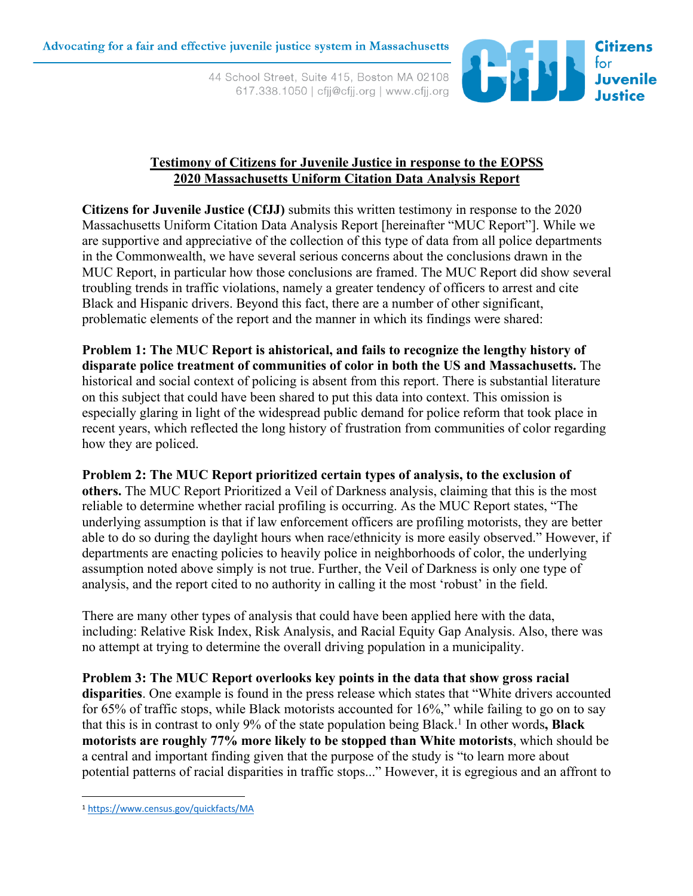44 School Street, Suite 415, Boston MA 02108 617.338.1050 | cfjj@cfjj.org | www.cfjj.org



## **Testimony of Citizens for Juvenile Justice in response to the EOPSS 2020 Massachusetts Uniform Citation Data Analysis Report**

**Citizens for Juvenile Justice (CfJJ)** submits this written testimony in response to the 2020 Massachusetts Uniform Citation Data Analysis Report [hereinafter "MUC Report"]. While we are supportive and appreciative of the collection of this type of data from all police departments in the Commonwealth, we have several serious concerns about the conclusions drawn in the MUC Report, in particular how those conclusions are framed. The MUC Report did show several troubling trends in traffic violations, namely a greater tendency of officers to arrest and cite Black and Hispanic drivers. Beyond this fact, there are a number of other significant, problematic elements of the report and the manner in which its findings were shared:

**Problem 1: The MUC Report is ahistorical, and fails to recognize the lengthy history of disparate police treatment of communities of color in both the US and Massachusetts.** The historical and social context of policing is absent from this report. There is substantial literature on this subject that could have been shared to put this data into context. This omission is especially glaring in light of the widespread public demand for police reform that took place in recent years, which reflected the long history of frustration from communities of color regarding how they are policed.

**Problem 2: The MUC Report prioritized certain types of analysis, to the exclusion of others.** The MUC Report Prioritized a Veil of Darkness analysis, claiming that this is the most reliable to determine whether racial profiling is occurring. As the MUC Report states, "The underlying assumption is that if law enforcement officers are profiling motorists, they are better able to do so during the daylight hours when race/ethnicity is more easily observed." However, if departments are enacting policies to heavily police in neighborhoods of color, the underlying assumption noted above simply is not true. Further, the Veil of Darkness is only one type of analysis, and the report cited to no authority in calling it the most 'robust' in the field.

There are many other types of analysis that could have been applied here with the data, including: Relative Risk Index, Risk Analysis, and Racial Equity Gap Analysis. Also, there was no attempt at trying to determine the overall driving population in a municipality.

**Problem 3: The MUC Report overlooks key points in the data that show gross racial disparities**. One example is found in the press release which states that "White drivers accounted for 65% of traffic stops, while Black motorists accounted for 16%," while failing to go on to say that this is in contrast to only 9% of the state population being Black.<sup>1</sup> In other words, **Black motorists are roughly 77% more likely to be stopped than White motorists**, which should be a central and important finding given that the purpose of the study is "to learn more about potential patterns of racial disparities in traffic stops..." However, it is egregious and an affront to

<sup>1</sup> https://www.census.gov/quickfacts/MA